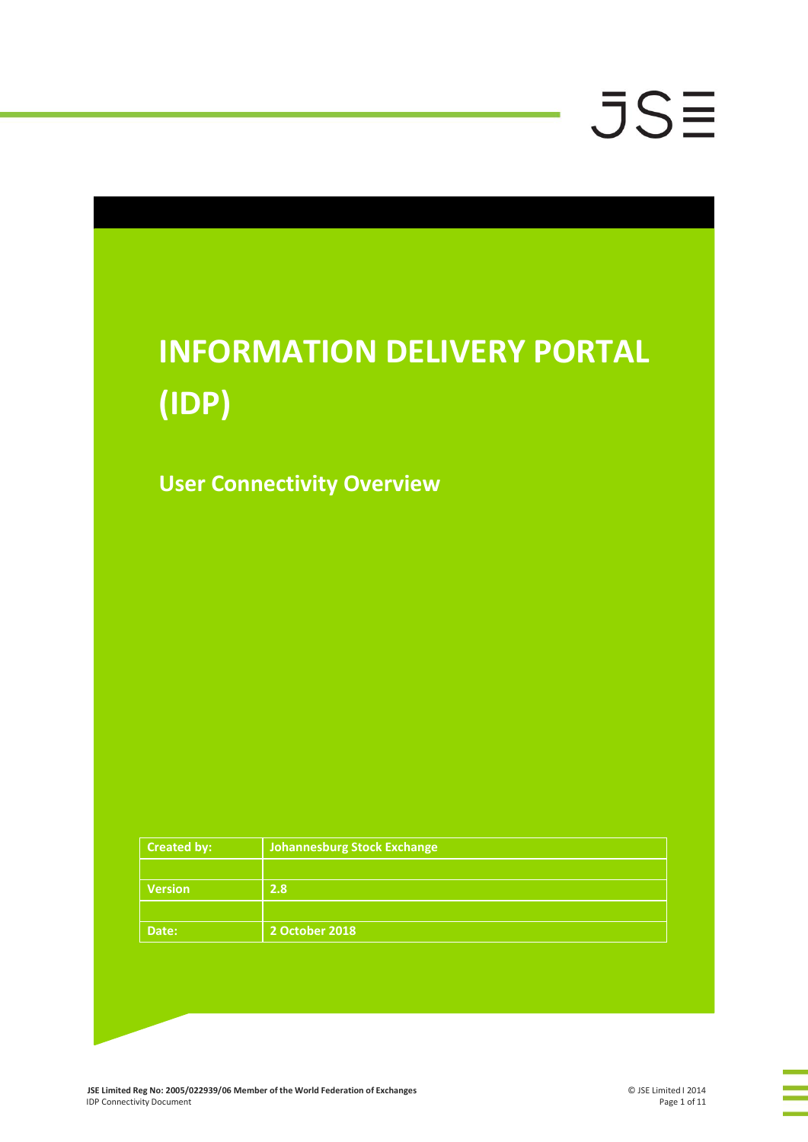### **INFORMATION DELIVERY PORTAL (IDP)**

**User Connectivity Overview**

| <b>Created by:</b> | Johannesburg Stock Exchange |
|--------------------|-----------------------------|
|                    |                             |
| <b>Version</b>     | 2.8                         |
|                    |                             |
| Date:              | 2 October 2018              |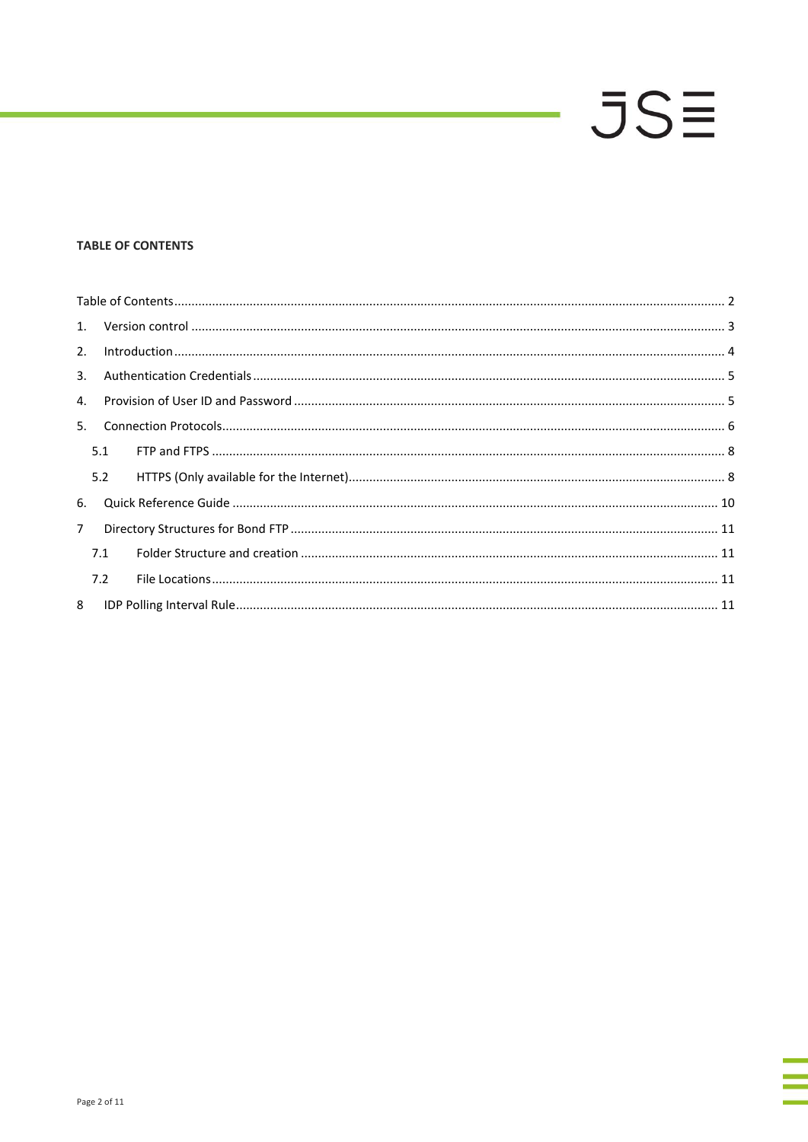### <span id="page-1-0"></span>**TABLE OF CONTENTS**

| 3.          |     |  |  |  |
|-------------|-----|--|--|--|
| 4.          |     |  |  |  |
| 5.          |     |  |  |  |
|             | 5.1 |  |  |  |
|             | 5.2 |  |  |  |
| 6.          |     |  |  |  |
| $7^{\circ}$ |     |  |  |  |
|             | 7.1 |  |  |  |
|             | 7.2 |  |  |  |
|             |     |  |  |  |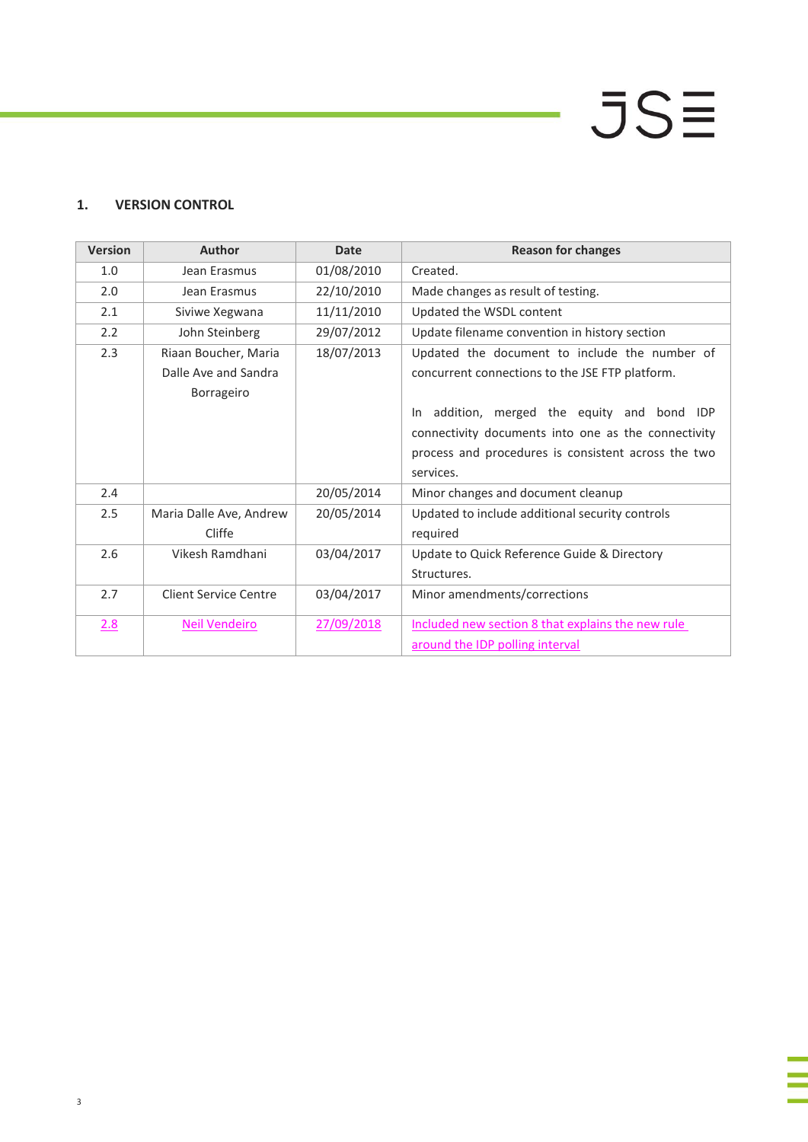# $JS\equiv$

### **1. VERSION CONTROL**

| <b>Version</b> | Author                  | <b>Date</b> | <b>Reason for changes</b>                                 |
|----------------|-------------------------|-------------|-----------------------------------------------------------|
| 1.0            | Jean Erasmus            | 01/08/2010  | Created.                                                  |
| 2.0            | Jean Erasmus            | 22/10/2010  | Made changes as result of testing.                        |
| 2.1            | Siviwe Xegwana          | 11/11/2010  | Updated the WSDL content                                  |
| 2.2            | John Steinberg          | 29/07/2012  | Update filename convention in history section             |
| 2.3            | Riaan Boucher, Maria    | 18/07/2013  | Updated the document to include the number of             |
|                | Dalle Ave and Sandra    |             | concurrent connections to the JSE FTP platform.           |
|                | Borrageiro              |             |                                                           |
|                |                         |             | addition, merged the equity and bond<br><b>IDP</b><br>In. |
|                |                         |             | connectivity documents into one as the connectivity       |
|                |                         |             | process and procedures is consistent across the two       |
|                |                         |             | services.                                                 |
| 2.4            |                         | 20/05/2014  | Minor changes and document cleanup                        |
| 2.5            | Maria Dalle Ave, Andrew | 20/05/2014  | Updated to include additional security controls           |
|                | Cliffe                  |             | required                                                  |
| 2.6            | Vikesh Ramdhani         | 03/04/2017  | Update to Quick Reference Guide & Directory               |
|                |                         |             | Structures.                                               |
| 2.7            | Client Service Centre   | 03/04/2017  | Minor amendments/corrections                              |
|                |                         |             |                                                           |
| 2.8            | <b>Neil Vendeiro</b>    | 27/09/2018  | Included new section 8 that explains the new rule         |
|                |                         |             | around the IDP polling interval                           |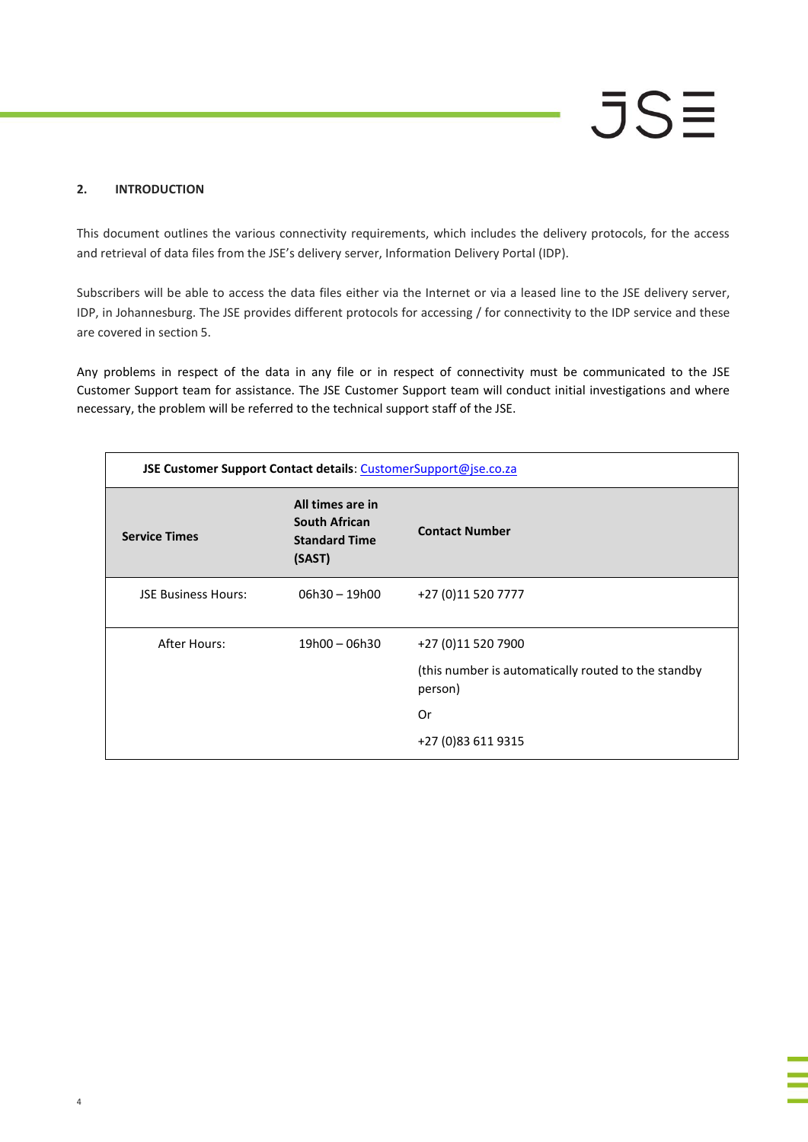#### <span id="page-3-0"></span>**2. INTRODUCTION**

This document outlines the various connectivity requirements, which includes the delivery protocols, for the access and retrieval of data files from the JSE's delivery server, Information Delivery Portal (IDP).

Subscribers will be able to access the data files either via the Internet or via a leased line to the JSE delivery server, IDP, in Johannesburg. The JSE provides different protocols for accessing / for connectivity to the IDP service and these are covered in section 5.

Any problems in respect of the data in any file or in respect of connectivity must be communicated to the JSE Customer Support team for assistance. The JSE Customer Support team will conduct initial investigations and where necessary, the problem will be referred to the technical support staff of the JSE.

| JSE Customer Support Contact details: CustomerSupport@jse.co.za |                                                                            |                                                                |
|-----------------------------------------------------------------|----------------------------------------------------------------------------|----------------------------------------------------------------|
| <b>Service Times</b>                                            | All times are in<br><b>South African</b><br><b>Standard Time</b><br>(SAST) | <b>Contact Number</b>                                          |
| <b>JSE Business Hours:</b>                                      | $06h30 - 19h00$                                                            | +27 (0)11 520 7777                                             |
| After Hours:                                                    | 19h00 - 06h30                                                              | +27 (0)11 520 7900                                             |
|                                                                 |                                                                            | (this number is automatically routed to the standby<br>person) |
|                                                                 |                                                                            | Or                                                             |
|                                                                 |                                                                            | +27 (0)83 611 9315                                             |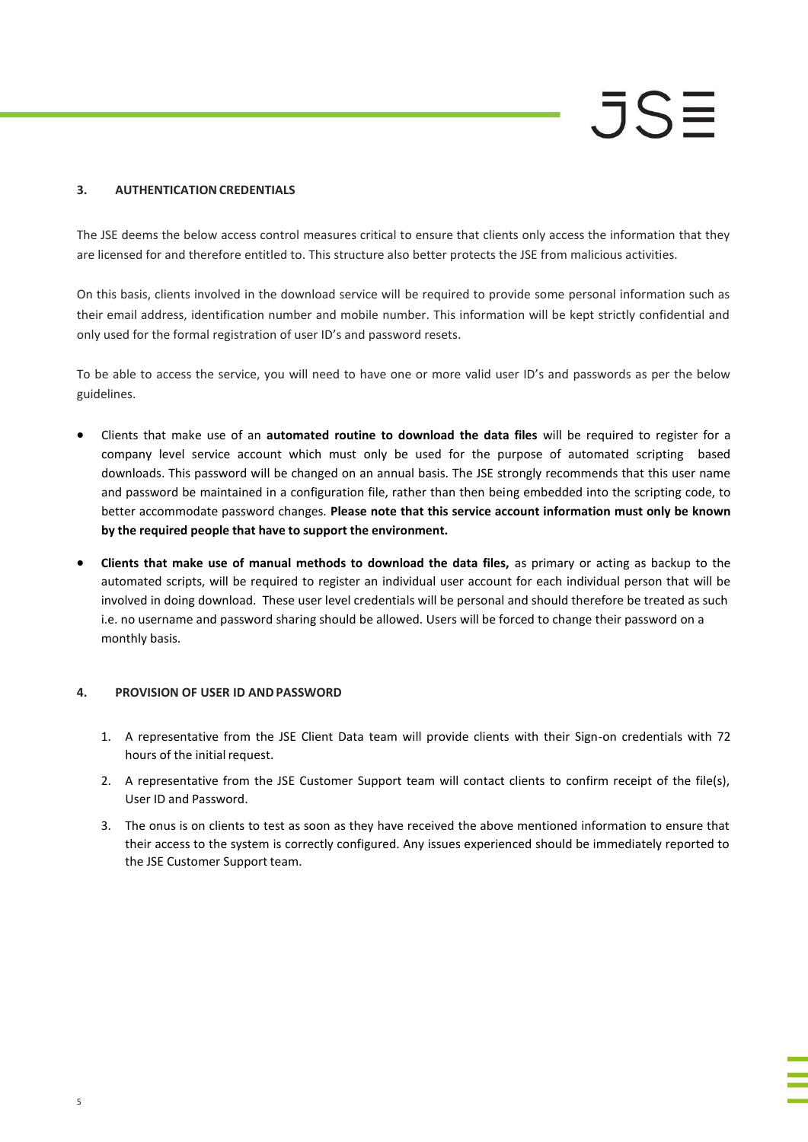### <span id="page-4-0"></span>**3. AUTHENTICATION CREDENTIALS**

The JSE deems the below access control measures critical to ensure that clients only access the information that they are licensed for and therefore entitled to. This structure also better protects the JSE from malicious activities.

On this basis, clients involved in the download service will be required to provide some personal information such as their email address, identification number and mobile number. This information will be kept strictly confidential and only used for the formal registration of user ID's and password resets.

To be able to access the service, you will need to have one or more valid user ID's and passwords as per the below guidelines.

- Clients that make use of an **automated routine to download the data files** will be required to register for a company level service account which must only be used for the purpose of automated scripting based downloads. This password will be changed on an annual basis. The JSE strongly recommends that this user name and password be maintained in a configuration file, rather than then being embedded into the scripting code, to better accommodate password changes. **Please note that this service account information must only be known by the required people that have to support the environment.**
- **Clients that make use of manual methods to download the data files,** as primary or acting as backup to the automated scripts, will be required to register an individual user account for each individual person that will be involved in doing download. These user level credentials will be personal and should therefore be treated as such i.e. no username and password sharing should be allowed. Users will be forced to change their password on a monthly basis.

### <span id="page-4-1"></span>**4. PROVISION OF USER ID ANDPASSWORD**

- 1. A representative from the JSE Client Data team will provide clients with their Sign-on credentials with 72 hours of the initial request.
- 2. A representative from the JSE Customer Support team will contact clients to confirm receipt of the file(s), User ID and Password.
- 3. The onus is on clients to test as soon as they have received the above mentioned information to ensure that their access to the system is correctly configured. Any issues experienced should be immediately reported to the JSE Customer Support team.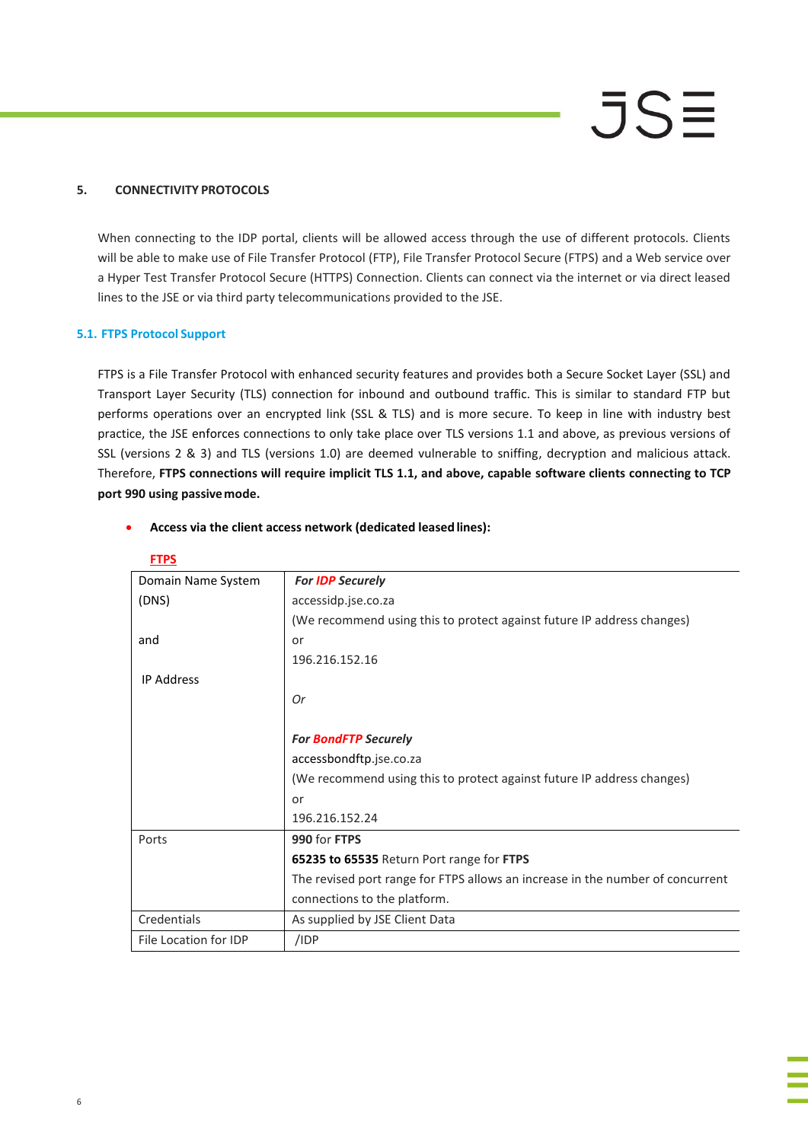#### **5. CONNECTIVITY PROTOCOLS**

When connecting to the IDP portal, clients will be allowed access through the use of different protocols. Clients will be able to make use of File Transfer Protocol (FTP), File Transfer Protocol Secure (FTPS) and a Web service over a Hyper Test Transfer Protocol Secure (HTTPS) Connection. Clients can connect via the internet or via direct leased lines to the JSE or via third party telecommunications provided to the JSE.

#### **5.1. FTPS Protocol Support**

FTPS is a File Transfer Protocol with enhanced security features and provides both a Secure Socket Layer (SSL) and Transport Layer Security (TLS) connection for inbound and outbound traffic. This is similar to standard FTP but performs operations over an encrypted link (SSL & TLS) and is more secure. To keep in line with industry best practice, the JSE enforces connections to only take place over TLS versions 1.1 and above, as previous versions of SSL (versions 2 & 3) and TLS (versions 1.0) are deemed vulnerable to sniffing, decryption and malicious attack. Therefore, **FTPS connections will require implicit TLS 1.1, and above, capable software clients connecting to TCP port 990 using passivemode.**

| <b>FTPS</b>           |                                                                                |
|-----------------------|--------------------------------------------------------------------------------|
| Domain Name System    | <b>For IDP Securely</b>                                                        |
| (DNS)                 | accessidp.jse.co.za                                                            |
|                       | (We recommend using this to protect against future IP address changes)         |
| and                   | or                                                                             |
|                       | 196.216.152.16                                                                 |
| <b>IP Address</b>     |                                                                                |
|                       | 0r                                                                             |
|                       |                                                                                |
|                       | <b>For BondFTP Securely</b>                                                    |
|                       | accessbondftp.jse.co.za                                                        |
|                       | (We recommend using this to protect against future IP address changes)         |
|                       | or                                                                             |
|                       | 196.216.152.24                                                                 |
| Ports                 | 990 for FTPS                                                                   |
|                       | 65235 to 65535 Return Port range for FTPS                                      |
|                       | The revised port range for FTPS allows an increase in the number of concurrent |
|                       | connections to the platform.                                                   |
| Credentials           | As supplied by JSE Client Data                                                 |
| File Location for IDP | /IDP                                                                           |

#### **Access via the client access network (dedicated leased lines):**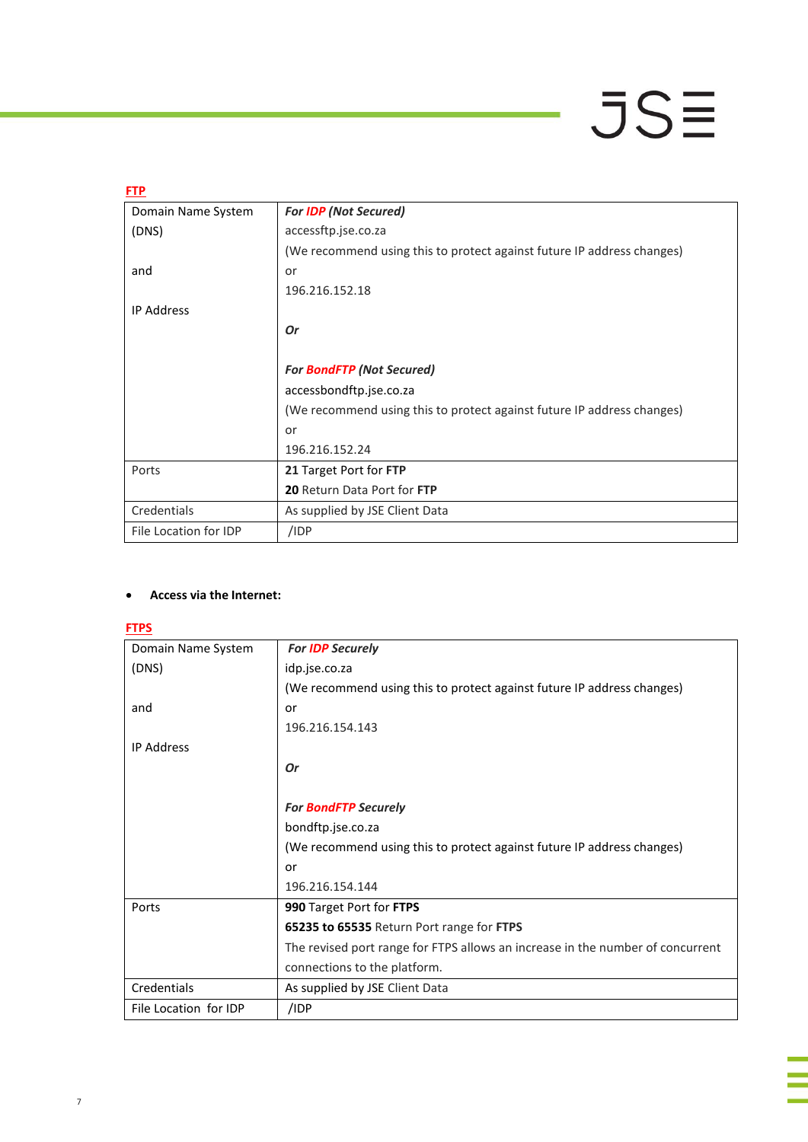| <b>FTP</b>            |                                                                        |  |
|-----------------------|------------------------------------------------------------------------|--|
| Domain Name System    | <b>For IDP (Not Secured)</b>                                           |  |
| (DNS)                 | accessftp.jse.co.za                                                    |  |
|                       | (We recommend using this to protect against future IP address changes) |  |
| and                   | or                                                                     |  |
|                       | 196.216.152.18                                                         |  |
| <b>IP Address</b>     |                                                                        |  |
|                       | Or                                                                     |  |
|                       |                                                                        |  |
|                       | <b>For BondFTP (Not Secured)</b>                                       |  |
|                       | accessbondftp.jse.co.za                                                |  |
|                       | (We recommend using this to protect against future IP address changes) |  |
|                       | or                                                                     |  |
|                       | 196.216.152.24                                                         |  |
| Ports                 | 21 Target Port for FTP                                                 |  |
|                       | 20 Return Data Port for FTP                                            |  |
| Credentials           | As supplied by JSE Client Data                                         |  |
| File Location for IDP | /IDP                                                                   |  |

### **Access via the Internet:**

**FTPS**

| Domain Name System    | <b>For IDP Securely</b>                                                        |
|-----------------------|--------------------------------------------------------------------------------|
| (DNS)                 | idp.jse.co.za                                                                  |
|                       | (We recommend using this to protect against future IP address changes)         |
| and                   | or                                                                             |
|                       | 196.216.154.143                                                                |
| <b>IP Address</b>     |                                                                                |
|                       | Or                                                                             |
|                       |                                                                                |
|                       | <b>For BondFTP Securely</b>                                                    |
|                       | bondftp.jse.co.za                                                              |
|                       | (We recommend using this to protect against future IP address changes)         |
|                       | or                                                                             |
|                       | 196.216.154.144                                                                |
| Ports                 | 990 Target Port for FTPS                                                       |
|                       | 65235 to 65535 Return Port range for FTPS                                      |
|                       | The revised port range for FTPS allows an increase in the number of concurrent |
|                       | connections to the platform.                                                   |
| Credentials           | As supplied by JSE Client Data                                                 |
| File Location for IDP | /IDP                                                                           |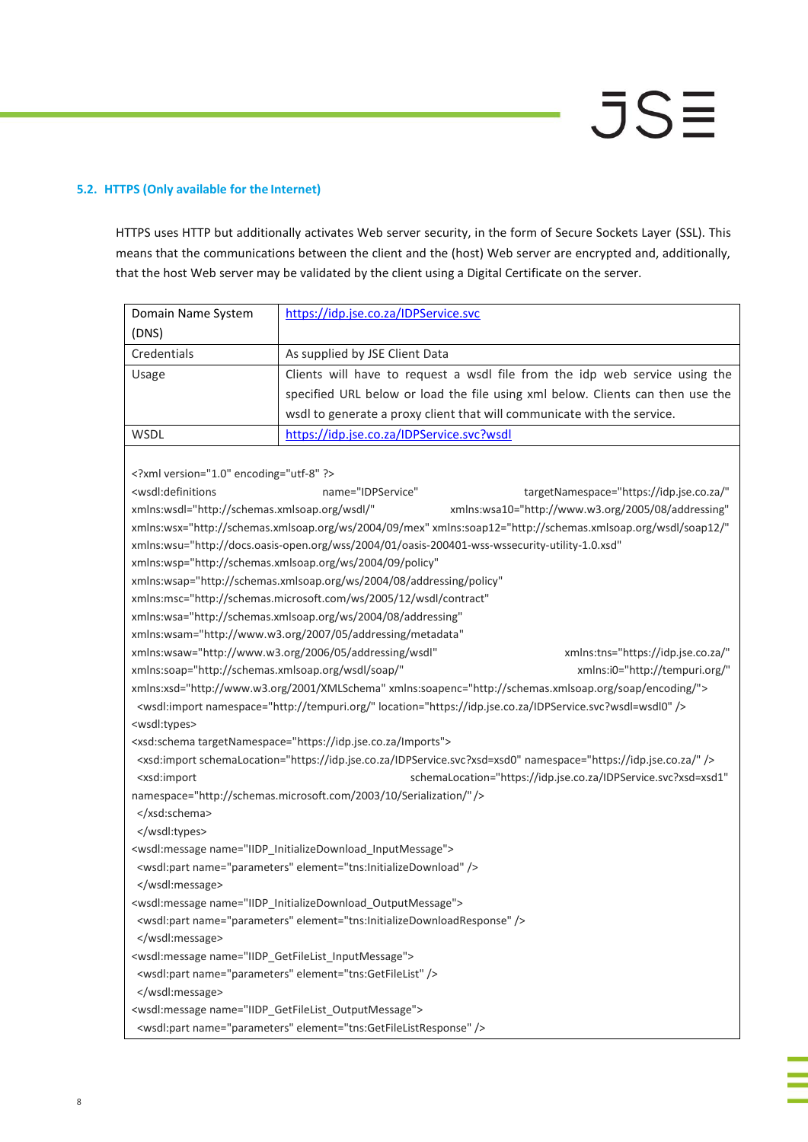### **5.2. HTTPS (Only available for the Internet)**

HTTPS uses HTTP but additionally activates Web server security, in the form of Secure Sockets Layer (SSL). This means that the communications between the client and the (host) Web server are encrypted and, additionally, that the host Web server may be validated by the client using a Digital Certificate on the server.

| Domain Name System                                                                                                     | https://idp.jse.co.za/IDPService.svc                                                                                        |  |  |  |
|------------------------------------------------------------------------------------------------------------------------|-----------------------------------------------------------------------------------------------------------------------------|--|--|--|
| (DNS)                                                                                                                  |                                                                                                                             |  |  |  |
| Credentials                                                                                                            | As supplied by JSE Client Data                                                                                              |  |  |  |
| Usage                                                                                                                  | Clients will have to request a wsdl file from the idp web service using the                                                 |  |  |  |
|                                                                                                                        | specified URL below or load the file using xml below. Clients can then use the                                              |  |  |  |
|                                                                                                                        | wsdl to generate a proxy client that will communicate with the service.                                                     |  |  |  |
| WSDL                                                                                                                   | https://idp.jse.co.za/IDPService.svc?wsdl                                                                                   |  |  |  |
|                                                                                                                        |                                                                                                                             |  |  |  |
| xml version="1.0" encoding="utf-8" ?                                                                                   |                                                                                                                             |  |  |  |
| <wsdl:definitions< td=""><td>name="IDPService"<br/>targetNamespace="https://idp.jse.co.za/"</td></wsdl:definitions<>   | name="IDPService"<br>targetNamespace="https://idp.jse.co.za/"                                                               |  |  |  |
| xmlns:wsdl="http://schemas.xmlsoap.org/wsdl/"                                                                          | xmlns:wsa10="http://www.w3.org/2005/08/addressing"                                                                          |  |  |  |
|                                                                                                                        | xmlns:wsx="http://schemas.xmlsoap.org/ws/2004/09/mex" xmlns:soap12="http://schemas.xmlsoap.org/wsdl/soap12/"                |  |  |  |
|                                                                                                                        | xmlns:wsu="http://docs.oasis-open.org/wss/2004/01/oasis-200401-wss-wssecurity-utility-1.0.xsd"                              |  |  |  |
|                                                                                                                        | xmlns:wsp="http://schemas.xmlsoap.org/ws/2004/09/policy"                                                                    |  |  |  |
|                                                                                                                        | xmlns:wsap="http://schemas.xmlsoap.org/ws/2004/08/addressing/policy"                                                        |  |  |  |
|                                                                                                                        | xmlns:msc="http://schemas.microsoft.com/ws/2005/12/wsdl/contract"                                                           |  |  |  |
|                                                                                                                        | xmlns:wsa="http://schemas.xmlsoap.org/ws/2004/08/addressing"                                                                |  |  |  |
|                                                                                                                        | xmlns:wsam="http://www.w3.org/2007/05/addressing/metadata"                                                                  |  |  |  |
|                                                                                                                        | xmlns:wsaw="http://www.w3.org/2006/05/addressing/wsdl"<br>xmlns:tns="https://idp.jse.co.za/"                                |  |  |  |
| xmlns:soap="http://schemas.xmlsoap.org/wsdl/soap/"                                                                     | xmlns:i0="http://tempuri.org/"                                                                                              |  |  |  |
|                                                                                                                        | xmlns:xsd="http://www.w3.org/2001/XMLSchema" xmlns:soapenc="http://schemas.xmlsoap.org/soap/encoding/">                     |  |  |  |
| <wsdl:import location="https://idp.jse.co.za/IDPService.svc?wsdl=wsdl0" namespace="http://tempuri.org/"></wsdl:import> |                                                                                                                             |  |  |  |
| <wsdl:types></wsdl:types>                                                                                              |                                                                                                                             |  |  |  |
|                                                                                                                        | <xsd:schema targetnamespace="https://idp.jse.co.za/Imports"></xsd:schema>                                                   |  |  |  |
|                                                                                                                        | <xsd:import namespace="https://idp.jse.co.za/" schemalocation="https://idp.jse.co.za/IDPService.svc?xsd=xsd0"></xsd:import> |  |  |  |
| <xsd:import< td=""><td colspan="3">schemaLocation="https://idp.jse.co.za/IDPService.svc?xsd=xsd1"</td></xsd:import<>   | schemaLocation="https://idp.jse.co.za/IDPService.svc?xsd=xsd1"                                                              |  |  |  |
| namespace="http://schemas.microsoft.com/2003/10/Serialization/" />                                                     |                                                                                                                             |  |  |  |
|                                                                                                                        |                                                                                                                             |  |  |  |
|                                                                                                                        |                                                                                                                             |  |  |  |
|                                                                                                                        | <wsdl:message name="IIDP_InitializeDownload_InputMessage"></wsdl:message>                                                   |  |  |  |
| <wsdl:part element="tns:InitializeDownload" name="parameters"></wsdl:part>                                             |                                                                                                                             |  |  |  |
|                                                                                                                        |                                                                                                                             |  |  |  |
| <wsdl:message name="IIDP_InitializeDownload_OutputMessage"></wsdl:message>                                             |                                                                                                                             |  |  |  |
| <wsdl:part element="tns:InitializeDownloadResponse" name="parameters"></wsdl:part>                                     |                                                                                                                             |  |  |  |
|                                                                                                                        |                                                                                                                             |  |  |  |
| <wsdl:message name="IIDP_GetFileList_InputMessage"></wsdl:message>                                                     |                                                                                                                             |  |  |  |
| <wsdl:part element="tns:GetFileList" name="parameters"></wsdl:part>                                                    |                                                                                                                             |  |  |  |
|                                                                                                                        |                                                                                                                             |  |  |  |
| <wsdl:message name="IIDP_GetFileList_OutputMessage"></wsdl:message>                                                    |                                                                                                                             |  |  |  |
|                                                                                                                        | <wsdl:part element="tns:GetFileListResponse" name="parameters"></wsdl:part>                                                 |  |  |  |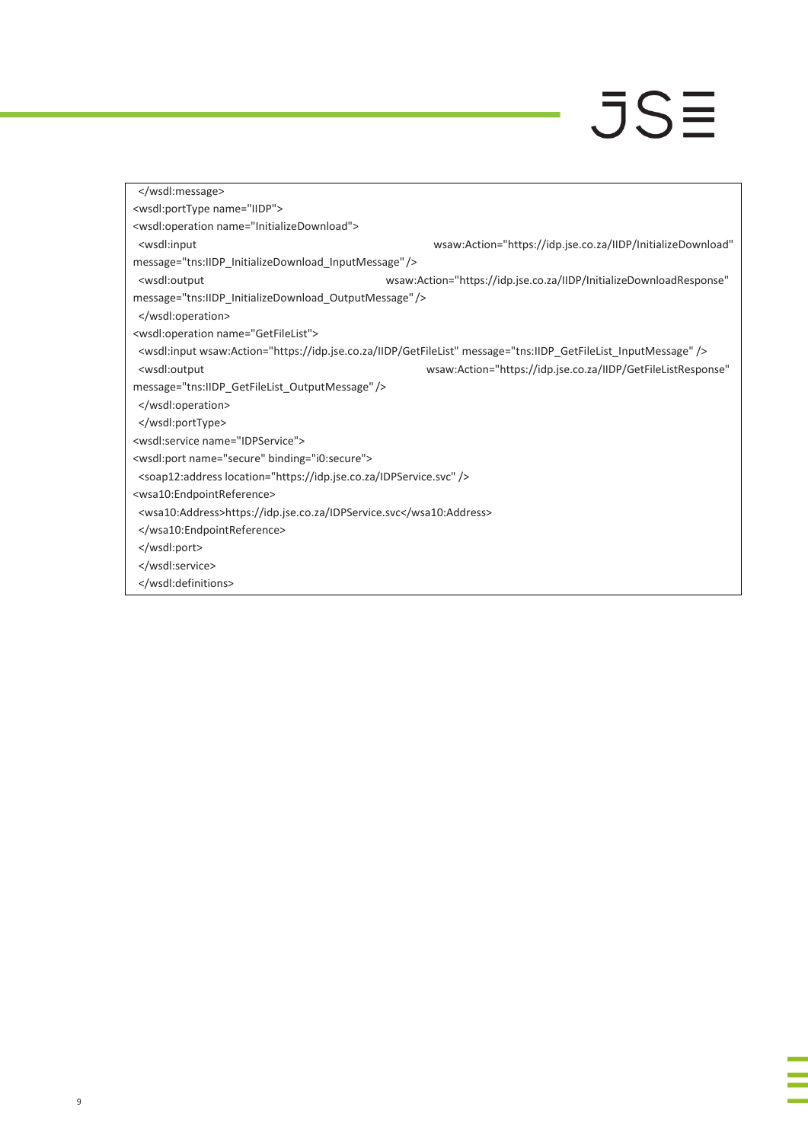i<br>Li

| <wsdl:porttype name="IIDP"></wsdl:porttype>                                                                     |                                                                                                                            |  |  |
|-----------------------------------------------------------------------------------------------------------------|----------------------------------------------------------------------------------------------------------------------------|--|--|
| <wsdl:operation name="InitializeDownload"></wsdl:operation>                                                     |                                                                                                                            |  |  |
| <wsdl:input< td=""><td>wsaw:Action="https://idp.jse.co.za/IIDP/InitializeDownload"</td></wsdl:input<>           | wsaw:Action="https://idp.jse.co.za/IIDP/InitializeDownload"                                                                |  |  |
| message="tns:IIDP_InitializeDownload_InputMessage"/>                                                            |                                                                                                                            |  |  |
| <wsdl:output< td=""><td>wsaw:Action="https://idp.jse.co.za/IIDP/InitializeDownloadResponse"</td></wsdl:output<> | wsaw:Action="https://idp.jse.co.za/IIDP/InitializeDownloadResponse"                                                        |  |  |
| message="tns:IIDP_InitializeDownload_OutputMessage"/>                                                           |                                                                                                                            |  |  |
|                                                                                                                 |                                                                                                                            |  |  |
| <wsdl:operation name="GetFileList"></wsdl:operation>                                                            |                                                                                                                            |  |  |
|                                                                                                                 | <wsdl:input message="tns:IIDP_GetFileList_InputMessage" wsaw:action="https://idp.jse.co.za/IIDP/GetFileList"></wsdl:input> |  |  |
| <wsdl:output< td=""><td>wsaw:Action="https://idp.jse.co.za/IIDP/GetFileListResponse"</td></wsdl:output<>        | wsaw:Action="https://idp.jse.co.za/IIDP/GetFileListResponse"                                                               |  |  |
| message="tns:IIDP_GetFileList_OutputMessage" />                                                                 |                                                                                                                            |  |  |
|                                                                                                                 |                                                                                                                            |  |  |
|                                                                                                                 |                                                                                                                            |  |  |
| <wsdl:service name="IDPService"></wsdl:service>                                                                 |                                                                                                                            |  |  |
| <wsdl:port binding="i0:secure" name="secure"></wsdl:port>                                                       |                                                                                                                            |  |  |
| <soap12:address location="https://idp.jse.co.za/IDPService.svc"></soap12:address>                               |                                                                                                                            |  |  |
| <wsa10:endpointreference></wsa10:endpointreference>                                                             |                                                                                                                            |  |  |
| <wsa10:address>https://idp.jse.co.za/IDPService.svc</wsa10:address>                                             |                                                                                                                            |  |  |
|                                                                                                                 |                                                                                                                            |  |  |
|                                                                                                                 |                                                                                                                            |  |  |
|                                                                                                                 |                                                                                                                            |  |  |
|                                                                                                                 |                                                                                                                            |  |  |
|                                                                                                                 |                                                                                                                            |  |  |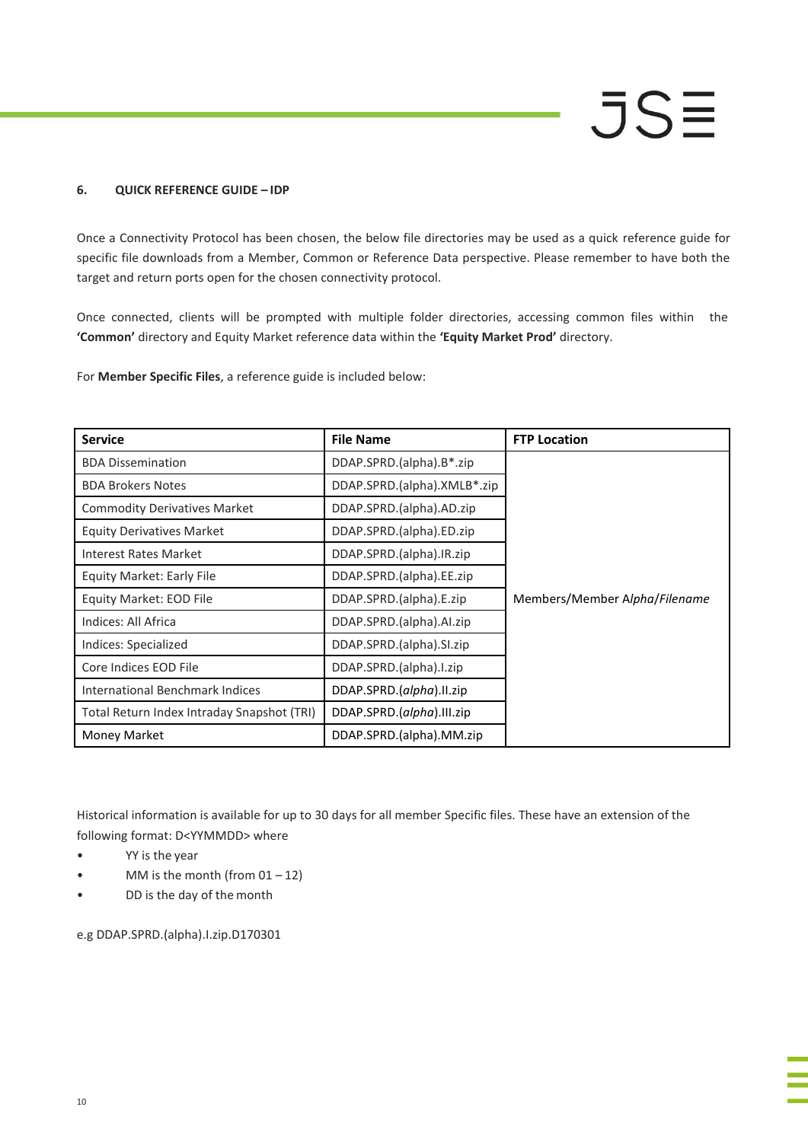### **6. QUICK REFERENCE GUIDE – IDP**

Once a Connectivity Protocol has been chosen, the below file directories may be used as a quick reference guide for specific file downloads from a Member, Common or Reference Data perspective. Please remember to have both the target and return ports open for the chosen connectivity protocol.

Once connected, clients will be prompted with multiple folder directories, accessing common files within the **'Common'** directory and Equity Market reference data within the **'Equity Market Prod'** directory.

For **Member Specific Files**, a reference guide is included below:

| <b>Service</b>                             | <b>File Name</b>            | <b>FTP Location</b>           |
|--------------------------------------------|-----------------------------|-------------------------------|
| <b>BDA Dissemination</b>                   | DDAP.SPRD.(alpha).B*.zip    |                               |
| <b>BDA Brokers Notes</b>                   | DDAP.SPRD.(alpha).XMLB*.zip |                               |
| <b>Commodity Derivatives Market</b>        | DDAP.SPRD.(alpha).AD.zip    |                               |
| <b>Equity Derivatives Market</b>           | DDAP.SPRD.(alpha).ED.zip    |                               |
| <b>Interest Rates Market</b>               | DDAP.SPRD.(alpha).IR.zip    |                               |
| <b>Equity Market: Early File</b>           | DDAP.SPRD.(alpha).EE.zip    |                               |
| Equity Market: EOD File                    | DDAP.SPRD.(alpha).E.zip     | Members/Member Alpha/Filename |
| Indices: All Africa                        | DDAP.SPRD.(alpha).Al.zip    |                               |
| Indices: Specialized                       | DDAP.SPRD.(alpha).SI.zip    |                               |
| Core Indices EOD File                      | DDAP.SPRD.(alpha).I.zip     |                               |
| International Benchmark Indices            | DDAP.SPRD.(alpha).II.zip    |                               |
| Total Return Index Intraday Snapshot (TRI) | DDAP.SPRD.(alpha).III.zip   |                               |
| Money Market                               | DDAP.SPRD.(alpha).MM.zip    |                               |

Historical information is available for up to 30 days for all member Specific files. These have an extension of the following format: D<YYMMDD> where

- YY is the year
- MM is the month (from  $01 12$ )
- DD is the day of the month

e.g DDAP.SPRD.(alpha).I.zip.D170301